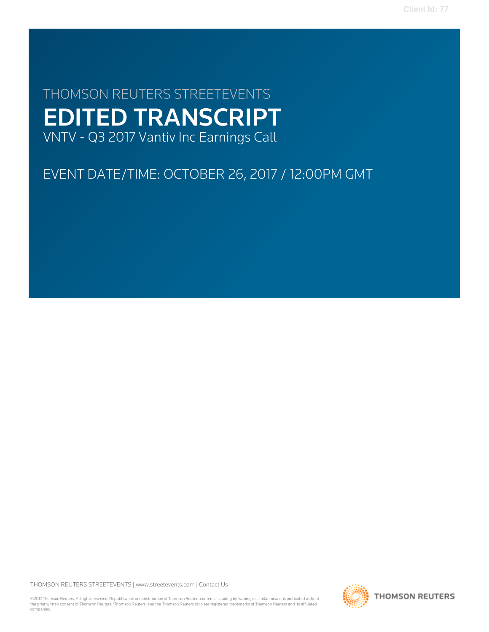# THOMSON REUTERS STREETEVENTS EDITED TRANSCRIPT VNTV - Q3 2017 Vantiv Inc Earnings Call

# EVENT DATE/TIME: OCTOBER 26, 2017 / 12:00PM GMT

THOMSON REUTERS STREETEVENTS | [www.streetevents.com](http://www.streetevents.com) | [Contact Us](http://www010.streetevents.com/contact.asp)

©2017 Thomson Reuters. All rights reserved. Republication or redistribution of Thomson Reuters content, including by framing or similar means, is prohibited without the prior written consent of Thomson Reuters. 'Thomson Reuters' and the Thomson Reuters logo are registered trademarks of Thomson Reuters and its affiliated companies.

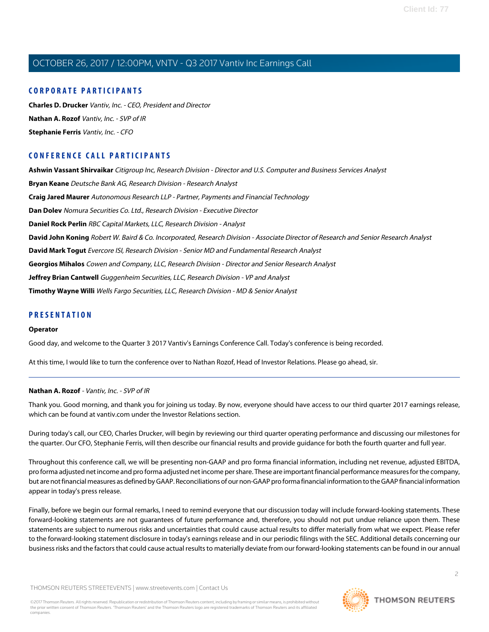# **CORPORATE PARTICIPANTS**

**[Charles D. Drucker](#page-2-0)** Vantiv, Inc. - CEO, President and Director **[Nathan A. Rozof](#page-1-0)** Vantiv, Inc. - SVP of IR **[Stephanie Ferris](#page-3-0)** Vantiv, Inc. - CFO

# **CONFERENCE CALL PARTICIPANTS**

**[Ashwin Vassant Shirvaikar](#page-5-0)** Citigroup Inc, Research Division - Director and U.S. Computer and Business Services Analyst **[Bryan Keane](#page-8-0)** Deutsche Bank AG, Research Division - Research Analyst **[Craig Jared Maurer](#page-12-0)** Autonomous Research LLP - Partner, Payments and Financial Technology **[Dan Dolev](#page-14-0)** Nomura Securities Co. Ltd., Research Division - Executive Director **[Daniel Rock Perlin](#page-15-0)** RBC Capital Markets, LLC, Research Division - Analyst **[David John Koning](#page-6-0)** Robert W. Baird & Co. Incorporated, Research Division - Associate Director of Research and Senior Research Analyst **[David Mark Togut](#page-9-0)** Evercore ISI, Research Division - Senior MD and Fundamental Research Analyst **[Georgios Mihalos](#page-7-0)** Cowen and Company, LLC, Research Division - Director and Senior Research Analyst **[Jeffrey Brian Cantwell](#page-12-1)** Guggenheim Securities, LLC, Research Division - VP and Analyst **[Timothy Wayne Willi](#page-11-0)** Wells Fargo Securities, LLC, Research Division - MD & Senior Analyst

# **PRESENTATION**

## **Operator**

<span id="page-1-0"></span>Good day, and welcome to the Quarter 3 2017 Vantiv's Earnings Conference Call. Today's conference is being recorded.

At this time, I would like to turn the conference over to Nathan Rozof, Head of Investor Relations. Please go ahead, sir.

# **Nathan A. Rozof** - Vantiv, Inc. - SVP of IR

Thank you. Good morning, and thank you for joining us today. By now, everyone should have access to our third quarter 2017 earnings release, which can be found at vantiv.com under the Investor Relations section.

During today's call, our CEO, Charles Drucker, will begin by reviewing our third quarter operating performance and discussing our milestones for the quarter. Our CFO, Stephanie Ferris, will then describe our financial results and provide guidance for both the fourth quarter and full year.

Throughout this conference call, we will be presenting non-GAAP and pro forma financial information, including net revenue, adjusted EBITDA, pro forma adjusted net income and pro forma adjusted net income per share. These are important financial performance measures for the company, but are not financial measures as defined by GAAP. Reconciliations of our non-GAAP pro forma financial information to the GAAP financial information appear in today's press release.

Finally, before we begin our formal remarks, I need to remind everyone that our discussion today will include forward-looking statements. These forward-looking statements are not guarantees of future performance and, therefore, you should not put undue reliance upon them. These statements are subject to numerous risks and uncertainties that could cause actual results to differ materially from what we expect. Please refer to the forward-looking statement disclosure in today's earnings release and in our periodic filings with the SEC. Additional details concerning our business risks and the factors that could cause actual results to materially deviate from our forward-looking statements can be found in our annual

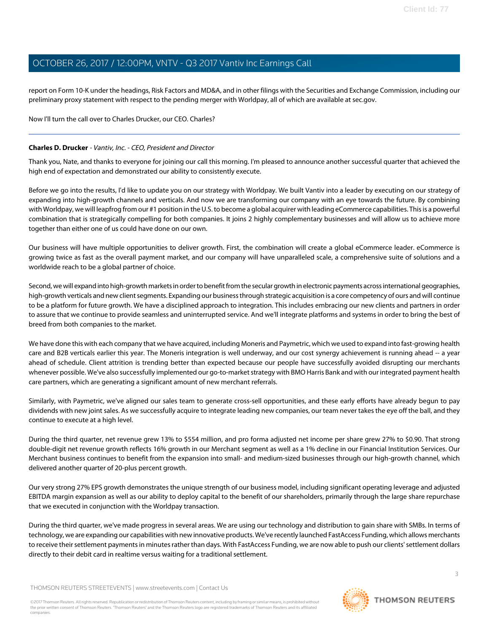report on Form 10-K under the headings, Risk Factors and MD&A, and in other filings with the Securities and Exchange Commission, including our preliminary proxy statement with respect to the pending merger with Worldpay, all of which are available at sec.gov.

# Now I'll turn the call over to Charles Drucker, our CEO. Charles?

# <span id="page-2-0"></span>**Charles D. Drucker** - Vantiv, Inc. - CEO, President and Director

Thank you, Nate, and thanks to everyone for joining our call this morning. I'm pleased to announce another successful quarter that achieved the high end of expectation and demonstrated our ability to consistently execute.

Before we go into the results, I'd like to update you on our strategy with Worldpay. We built Vantiv into a leader by executing on our strategy of expanding into high-growth channels and verticals. And now we are transforming our company with an eye towards the future. By combining with Worldpay, we will leapfrog from our #1 position in the U.S. to become a global acquirer with leading eCommerce capabilities. This is a powerful combination that is strategically compelling for both companies. It joins 2 highly complementary businesses and will allow us to achieve more together than either one of us could have done on our own.

Our business will have multiple opportunities to deliver growth. First, the combination will create a global eCommerce leader. eCommerce is growing twice as fast as the overall payment market, and our company will have unparalleled scale, a comprehensive suite of solutions and a worldwide reach to be a global partner of choice.

Second, we will expand into high-growth markets in order to benefit from the secular growth in electronic payments across international geographies, high-growth verticals and new client segments. Expanding our business through strategic acquisition is a core competency of ours and will continue to be a platform for future growth. We have a disciplined approach to integration. This includes embracing our new clients and partners in order to assure that we continue to provide seamless and uninterrupted service. And we'll integrate platforms and systems in order to bring the best of breed from both companies to the market.

We have done this with each company that we have acquired, including Moneris and Paymetric, which we used to expand into fast-growing health care and B2B verticals earlier this year. The Moneris integration is well underway, and our cost synergy achievement is running ahead -- a year ahead of schedule. Client attrition is trending better than expected because our people have successfully avoided disrupting our merchants whenever possible. We've also successfully implemented our go-to-market strategy with BMO Harris Bank and with our integrated payment health care partners, which are generating a significant amount of new merchant referrals.

Similarly, with Paymetric, we've aligned our sales team to generate cross-sell opportunities, and these early efforts have already begun to pay dividends with new joint sales. As we successfully acquire to integrate leading new companies, our team never takes the eye off the ball, and they continue to execute at a high level.

During the third quarter, net revenue grew 13% to \$554 million, and pro forma adjusted net income per share grew 27% to \$0.90. That strong double-digit net revenue growth reflects 16% growth in our Merchant segment as well as a 1% decline in our Financial Institution Services. Our Merchant business continues to benefit from the expansion into small- and medium-sized businesses through our high-growth channel, which delivered another quarter of 20-plus percent growth.

Our very strong 27% EPS growth demonstrates the unique strength of our business model, including significant operating leverage and adjusted EBITDA margin expansion as well as our ability to deploy capital to the benefit of our shareholders, primarily through the large share repurchase that we executed in conjunction with the Worldpay transaction.

During the third quarter, we've made progress in several areas. We are using our technology and distribution to gain share with SMBs. In terms of technology, we are expanding our capabilities with new innovative products. We've recently launched FastAccess Funding, which allows merchants to receive their settlement payments in minutes rather than days. With FastAccess Funding, we are now able to push our clients' settlement dollars directly to their debit card in realtime versus waiting for a traditional settlement.

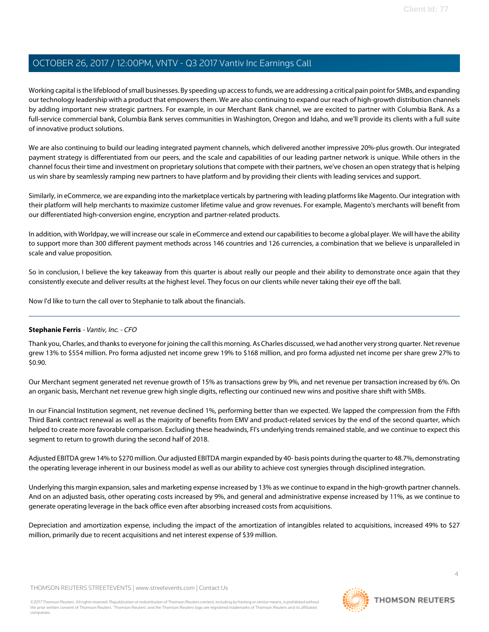Working capital is the lifeblood of small businesses. By speeding up access to funds, we are addressing a critical pain point for SMBs, and expanding our technology leadership with a product that empowers them. We are also continuing to expand our reach of high-growth distribution channels by adding important new strategic partners. For example, in our Merchant Bank channel, we are excited to partner with Columbia Bank. As a full-service commercial bank, Columbia Bank serves communities in Washington, Oregon and Idaho, and we'll provide its clients with a full suite of innovative product solutions.

We are also continuing to build our leading integrated payment channels, which delivered another impressive 20%-plus growth. Our integrated payment strategy is differentiated from our peers, and the scale and capabilities of our leading partner network is unique. While others in the channel focus their time and investment on proprietary solutions that compete with their partners, we've chosen an open strategy that is helping us win share by seamlessly ramping new partners to have platform and by providing their clients with leading services and support.

Similarly, in eCommerce, we are expanding into the marketplace verticals by partnering with leading platforms like Magento. Our integration with their platform will help merchants to maximize customer lifetime value and grow revenues. For example, Magento's merchants will benefit from our differentiated high-conversion engine, encryption and partner-related products.

In addition, with Worldpay, we will increase our scale in eCommerce and extend our capabilities to become a global player. We will have the ability to support more than 300 different payment methods across 146 countries and 126 currencies, a combination that we believe is unparalleled in scale and value proposition.

So in conclusion, I believe the key takeaway from this quarter is about really our people and their ability to demonstrate once again that they consistently execute and deliver results at the highest level. They focus on our clients while never taking their eye off the ball.

<span id="page-3-0"></span>Now I'd like to turn the call over to Stephanie to talk about the financials.

# **Stephanie Ferris** - Vantiv, Inc. - CFO

Thank you, Charles, and thanks to everyone for joining the call this morning. As Charles discussed, we had another very strong quarter. Net revenue grew 13% to \$554 million. Pro forma adjusted net income grew 19% to \$168 million, and pro forma adjusted net income per share grew 27% to \$0.90.

Our Merchant segment generated net revenue growth of 15% as transactions grew by 9%, and net revenue per transaction increased by 6%. On an organic basis, Merchant net revenue grew high single digits, reflecting our continued new wins and positive share shift with SMBs.

In our Financial Institution segment, net revenue declined 1%, performing better than we expected. We lapped the compression from the Fifth Third Bank contract renewal as well as the majority of benefits from EMV and product-related services by the end of the second quarter, which helped to create more favorable comparison. Excluding these headwinds, FI's underlying trends remained stable, and we continue to expect this segment to return to growth during the second half of 2018.

Adjusted EBITDA grew 14% to \$270 million. Our adjusted EBITDA margin expanded by 40- basis points during the quarter to 48.7%, demonstrating the operating leverage inherent in our business model as well as our ability to achieve cost synergies through disciplined integration.

Underlying this margin expansion, sales and marketing expense increased by 13% as we continue to expand in the high-growth partner channels. And on an adjusted basis, other operating costs increased by 9%, and general and administrative expense increased by 11%, as we continue to generate operating leverage in the back office even after absorbing increased costs from acquisitions.

Depreciation and amortization expense, including the impact of the amortization of intangibles related to acquisitions, increased 49% to \$27 million, primarily due to recent acquisitions and net interest expense of \$39 million.

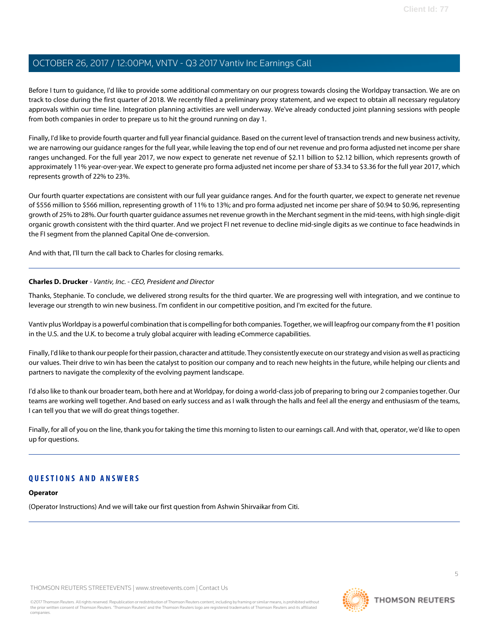Before I turn to guidance, I'd like to provide some additional commentary on our progress towards closing the Worldpay transaction. We are on track to close during the first quarter of 2018. We recently filed a preliminary proxy statement, and we expect to obtain all necessary regulatory approvals within our time line. Integration planning activities are well underway. We've already conducted joint planning sessions with people from both companies in order to prepare us to hit the ground running on day 1.

Finally, I'd like to provide fourth quarter and full year financial guidance. Based on the current level of transaction trends and new business activity, we are narrowing our guidance ranges for the full year, while leaving the top end of our net revenue and pro forma adjusted net income per share ranges unchanged. For the full year 2017, we now expect to generate net revenue of \$2.11 billion to \$2.12 billion, which represents growth of approximately 11% year-over-year. We expect to generate pro forma adjusted net income per share of \$3.34 to \$3.36 for the full year 2017, which represents growth of 22% to 23%.

Our fourth quarter expectations are consistent with our full year guidance ranges. And for the fourth quarter, we expect to generate net revenue of \$556 million to \$566 million, representing growth of 11% to 13%; and pro forma adjusted net income per share of \$0.94 to \$0.96, representing growth of 25% to 28%. Our fourth quarter guidance assumes net revenue growth in the Merchant segment in the mid-teens, with high single-digit organic growth consistent with the third quarter. And we project FI net revenue to decline mid-single digits as we continue to face headwinds in the FI segment from the planned Capital One de-conversion.

And with that, I'll turn the call back to Charles for closing remarks.

# **Charles D. Drucker** - Vantiv, Inc. - CEO, President and Director

Thanks, Stephanie. To conclude, we delivered strong results for the third quarter. We are progressing well with integration, and we continue to leverage our strength to win new business. I'm confident in our competitive position, and I'm excited for the future.

Vantiv plus Worldpay is a powerful combination that is compelling for both companies. Together, we will leapfrog our company from the #1 position in the U.S. and the U.K. to become a truly global acquirer with leading eCommerce capabilities.

Finally, I'd like to thank our people for their passion, character and attitude. They consistently execute on our strategy and vision as well as practicing our values. Their drive to win has been the catalyst to position our company and to reach new heights in the future, while helping our clients and partners to navigate the complexity of the evolving payment landscape.

I'd also like to thank our broader team, both here and at Worldpay, for doing a world-class job of preparing to bring our 2 companies together. Our teams are working well together. And based on early success and as I walk through the halls and feel all the energy and enthusiasm of the teams, I can tell you that we will do great things together.

Finally, for all of you on the line, thank you for taking the time this morning to listen to our earnings call. And with that, operator, we'd like to open up for questions.

# **QUESTIONS AND ANSWERS**

## **Operator**

(Operator Instructions) And we will take our first question from Ashwin Shirvaikar from Citi.

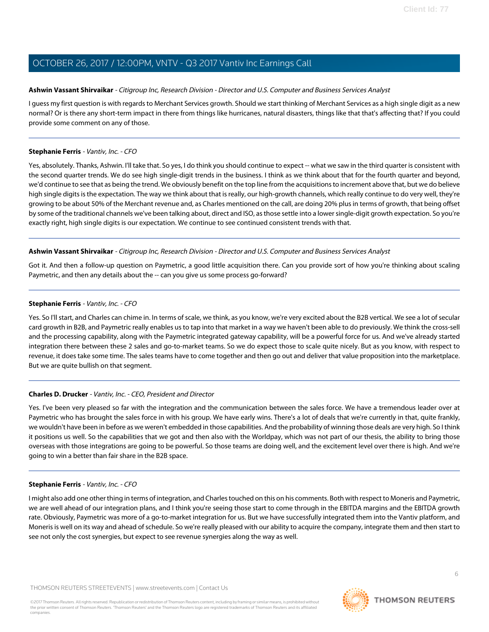# <span id="page-5-0"></span>**Ashwin Vassant Shirvaikar** - Citigroup Inc, Research Division - Director and U.S. Computer and Business Services Analyst

I guess my first question is with regards to Merchant Services growth. Should we start thinking of Merchant Services as a high single digit as a new normal? Or is there any short-term impact in there from things like hurricanes, natural disasters, things like that that's affecting that? If you could provide some comment on any of those.

# **Stephanie Ferris** - Vantiv, Inc. - CFO

Yes, absolutely. Thanks, Ashwin. I'll take that. So yes, I do think you should continue to expect -- what we saw in the third quarter is consistent with the second quarter trends. We do see high single-digit trends in the business. I think as we think about that for the fourth quarter and beyond, we'd continue to see that as being the trend. We obviously benefit on the top line from the acquisitions to increment above that, but we do believe high single digits is the expectation. The way we think about that is really, our high-growth channels, which really continue to do very well, they're growing to be about 50% of the Merchant revenue and, as Charles mentioned on the call, are doing 20% plus in terms of growth, that being offset by some of the traditional channels we've been talking about, direct and ISO, as those settle into a lower single-digit growth expectation. So you're exactly right, high single digits is our expectation. We continue to see continued consistent trends with that.

# **Ashwin Vassant Shirvaikar** - Citigroup Inc, Research Division - Director and U.S. Computer and Business Services Analyst

Got it. And then a follow-up question on Paymetric, a good little acquisition there. Can you provide sort of how you're thinking about scaling Paymetric, and then any details about the -- can you give us some process go-forward?

## **Stephanie Ferris** - Vantiv, Inc. - CFO

Yes. So I'll start, and Charles can chime in. In terms of scale, we think, as you know, we're very excited about the B2B vertical. We see a lot of secular card growth in B2B, and Paymetric really enables us to tap into that market in a way we haven't been able to do previously. We think the cross-sell and the processing capability, along with the Paymetric integrated gateway capability, will be a powerful force for us. And we've already started integration there between these 2 sales and go-to-market teams. So we do expect those to scale quite nicely. But as you know, with respect to revenue, it does take some time. The sales teams have to come together and then go out and deliver that value proposition into the marketplace. But we are quite bullish on that segment.

# **Charles D. Drucker** - Vantiv, Inc. - CEO, President and Director

Yes. I've been very pleased so far with the integration and the communication between the sales force. We have a tremendous leader over at Paymetric who has brought the sales force in with his group. We have early wins. There's a lot of deals that we're currently in that, quite frankly, we wouldn't have been in before as we weren't embedded in those capabilities. And the probability of winning those deals are very high. So I think it positions us well. So the capabilities that we got and then also with the Worldpay, which was not part of our thesis, the ability to bring those overseas with those integrations are going to be powerful. So those teams are doing well, and the excitement level over there is high. And we're going to win a better than fair share in the B2B space.

## **Stephanie Ferris** - Vantiv, Inc. - CFO

I might also add one other thing in terms of integration, and Charles touched on this on his comments. Both with respect to Moneris and Paymetric, we are well ahead of our integration plans, and I think you're seeing those start to come through in the EBITDA margins and the EBITDA growth rate. Obviously, Paymetric was more of a go-to-market integration for us. But we have successfully integrated them into the Vantiv platform, and Moneris is well on its way and ahead of schedule. So we're really pleased with our ability to acquire the company, integrate them and then start to see not only the cost synergies, but expect to see revenue synergies along the way as well.

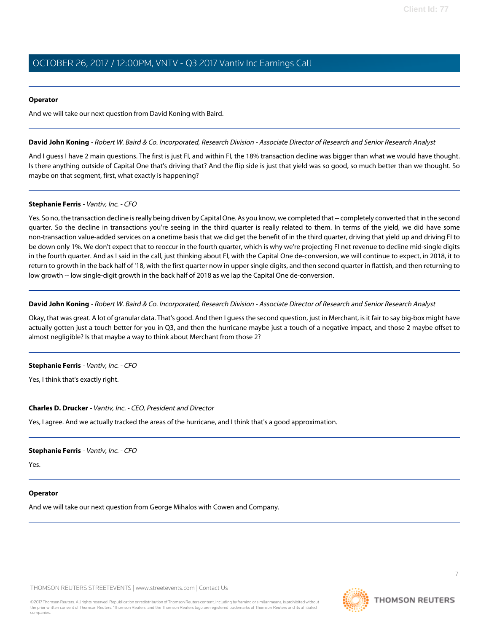#### **Operator**

<span id="page-6-0"></span>And we will take our next question from David Koning with Baird.

#### **David John Koning** - Robert W. Baird & Co. Incorporated, Research Division - Associate Director of Research and Senior Research Analyst

And I guess I have 2 main questions. The first is just FI, and within FI, the 18% transaction decline was bigger than what we would have thought. Is there anything outside of Capital One that's driving that? And the flip side is just that yield was so good, so much better than we thought. So maybe on that segment, first, what exactly is happening?

## **Stephanie Ferris** - Vantiv, Inc. - CFO

Yes. So no, the transaction decline is really being driven by Capital One. As you know, we completed that -- completely converted that in the second quarter. So the decline in transactions you're seeing in the third quarter is really related to them. In terms of the yield, we did have some non-transaction value-added services on a onetime basis that we did get the benefit of in the third quarter, driving that yield up and driving FI to be down only 1%. We don't expect that to reoccur in the fourth quarter, which is why we're projecting FI net revenue to decline mid-single digits in the fourth quarter. And as I said in the call, just thinking about FI, with the Capital One de-conversion, we will continue to expect, in 2018, it to return to growth in the back half of '18, with the first quarter now in upper single digits, and then second quarter in flattish, and then returning to low growth -- low single-digit growth in the back half of 2018 as we lap the Capital One de-conversion.

#### **David John Koning** - Robert W. Baird & Co. Incorporated, Research Division - Associate Director of Research and Senior Research Analyst

Okay, that was great. A lot of granular data. That's good. And then I guess the second question, just in Merchant, is it fair to say big-box might have actually gotten just a touch better for you in Q3, and then the hurricane maybe just a touch of a negative impact, and those 2 maybe offset to almost negligible? Is that maybe a way to think about Merchant from those 2?

## **Stephanie Ferris** - Vantiv, Inc. - CFO

Yes, I think that's exactly right.

## **Charles D. Drucker** - Vantiv, Inc. - CEO, President and Director

Yes, I agree. And we actually tracked the areas of the hurricane, and I think that's a good approximation.

#### **Stephanie Ferris** - Vantiv, Inc. - CFO

Yes.

#### **Operator**

And we will take our next question from George Mihalos with Cowen and Company.

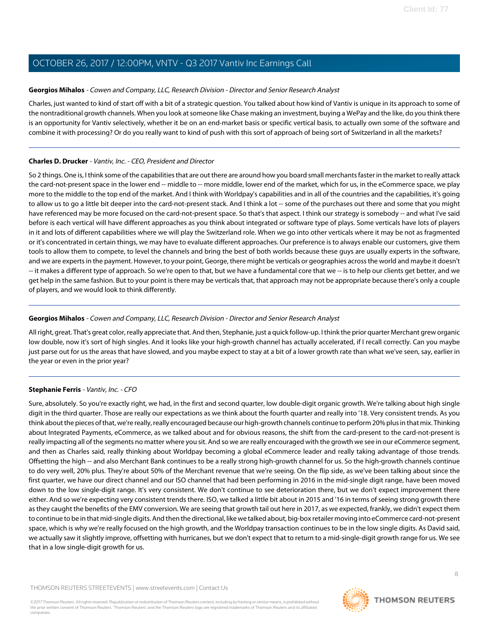# <span id="page-7-0"></span>**Georgios Mihalos** - Cowen and Company, LLC, Research Division - Director and Senior Research Analyst

Charles, just wanted to kind of start off with a bit of a strategic question. You talked about how kind of Vantiv is unique in its approach to some of the nontraditional growth channels. When you look at someone like Chase making an investment, buying a WePay and the like, do you think there is an opportunity for Vantiv selectively, whether it be on an end-market basis or specific vertical basis, to actually own some of the software and combine it with processing? Or do you really want to kind of push with this sort of approach of being sort of Switzerland in all the markets?

# **Charles D. Drucker** - Vantiv, Inc. - CEO, President and Director

So 2 things. One is, I think some of the capabilities that are out there are around how you board small merchants faster in the market to really attack the card-not-present space in the lower end -- middle to -- more middle, lower end of the market, which for us, in the eCommerce space, we play more to the middle to the top end of the market. And I think with Worldpay's capabilities and in all of the countries and the capabilities, it's going to allow us to go a little bit deeper into the card-not-present stack. And I think a lot -- some of the purchases out there and some that you might have referenced may be more focused on the card-not-present space. So that's that aspect. I think our strategy is somebody -- and what I've said before is each vertical will have different approaches as you think about integrated or software type of plays. Some verticals have lots of players in it and lots of different capabilities where we will play the Switzerland role. When we go into other verticals where it may be not as fragmented or it's concentrated in certain things, we may have to evaluate different approaches. Our preference is to always enable our customers, give them tools to allow them to compete, to level the channels and bring the best of both worlds because these guys are usually experts in the software, and we are experts in the payment. However, to your point, George, there might be verticals or geographies across the world and maybe it doesn't -- it makes a different type of approach. So we're open to that, but we have a fundamental core that we -- is to help our clients get better, and we get help in the same fashion. But to your point is there may be verticals that, that approach may not be appropriate because there's only a couple of players, and we would look to think differently.

# **Georgios Mihalos** - Cowen and Company, LLC, Research Division - Director and Senior Research Analyst

All right, great. That's great color, really appreciate that. And then, Stephanie, just a quick follow-up. I think the prior quarter Merchant grew organic low double, now it's sort of high singles. And it looks like your high-growth channel has actually accelerated, if I recall correctly. Can you maybe just parse out for us the areas that have slowed, and you maybe expect to stay at a bit of a lower growth rate than what we've seen, say, earlier in the year or even in the prior year?

# **Stephanie Ferris** - Vantiv, Inc. - CFO

Sure, absolutely. So you're exactly right, we had, in the first and second quarter, low double-digit organic growth. We're talking about high single digit in the third quarter. Those are really our expectations as we think about the fourth quarter and really into '18. Very consistent trends. As you think about the pieces of that, we're really, really encouraged because our high-growth channels continue to perform 20% plus in that mix. Thinking about Integrated Payments, eCommerce, as we talked about and for obvious reasons, the shift from the card-present to the card-not-present is really impacting all of the segments no matter where you sit. And so we are really encouraged with the growth we see in our eCommerce segment, and then as Charles said, really thinking about Worldpay becoming a global eCommerce leader and really taking advantage of those trends. Offsetting the high -- and also Merchant Bank continues to be a really strong high-growth channel for us. So the high-growth channels continue to do very well, 20% plus. They're about 50% of the Merchant revenue that we're seeing. On the flip side, as we've been talking about since the first quarter, we have our direct channel and our ISO channel that had been performing in 2016 in the mid-single digit range, have been moved down to the low single-digit range. It's very consistent. We don't continue to see deterioration there, but we don't expect improvement there either. And so we're expecting very consistent trends there. ISO, we talked a little bit about in 2015 and '16 in terms of seeing strong growth there as they caught the benefits of the EMV conversion. We are seeing that growth tail out here in 2017, as we expected, frankly, we didn't expect them to continue to be in that mid-single digits. And then the directional, like we talked about, big-box retailer moving into eCommerce card-not-present space, which is why we're really focused on the high growth, and the Worldpay transaction continues to be in the low single digits. As David said, we actually saw it slightly improve, offsetting with hurricanes, but we don't expect that to return to a mid-single-digit growth range for us. We see that in a low single-digit growth for us.

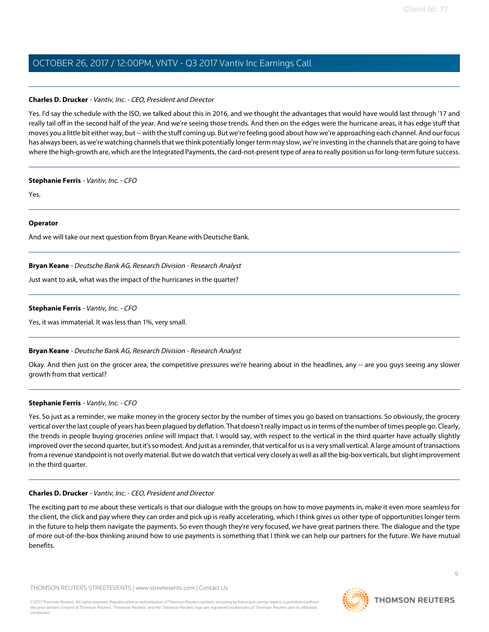# **Charles D. Drucker** - Vantiv, Inc. - CEO, President and Director

Yes. I'd say the schedule with the ISO, we talked about this in 2016, and we thought the advantages that would have would last through '17 and really tail off in the second half of the year. And we're seeing those trends. And then on the edges were the hurricane areas, it has edge stuff that moves you a little bit either way, but -- with the stuff coming up. But we're feeling good about how we're approaching each channel. And our focus has always been, as we're watching channels that we think potentially longer term may slow, we're investing in the channels that are going to have where the high-growth are, which are the Integrated Payments, the card-not-present type of area to really position us for long-term future success.

## **Stephanie Ferris** - Vantiv, Inc. - CFO

Yes.

# **Operator**

<span id="page-8-0"></span>And we will take our next question from Bryan Keane with Deutsche Bank.

## **Bryan Keane** - Deutsche Bank AG, Research Division - Research Analyst

Just want to ask, what was the impact of the hurricanes in the quarter?

## **Stephanie Ferris** - Vantiv, Inc. - CFO

Yes, it was immaterial. It was less than 1%, very small.

## **Bryan Keane** - Deutsche Bank AG, Research Division - Research Analyst

Okay. And then just on the grocer area, the competitive pressures we're hearing about in the headlines, any -- are you guys seeing any slower growth from that vertical?

## **Stephanie Ferris** - Vantiv, Inc. - CFO

Yes. So just as a reminder, we make money in the grocery sector by the number of times you go based on transactions. So obviously, the grocery vertical over the last couple of years has been plagued by deflation. That doesn't really impact us in terms of the number of times people go. Clearly, the trends in people buying groceries online will impact that. I would say, with respect to the vertical in the third quarter have actually slightly improved over the second quarter, but it's so modest. And just as a reminder, that vertical for us is a very small vertical. A large amount of transactions from a revenue standpoint is not overly material. But we do watch that vertical very closely as well as all the big-box verticals, but slight improvement in the third quarter.

## **Charles D. Drucker** - Vantiv, Inc. - CEO, President and Director

The exciting part to me about these verticals is that our dialogue with the groups on how to move payments in, make it even more seamless for the client, the click and pay where they can order and pick up is really accelerating, which I think gives us other type of opportunities longer term in the future to help them navigate the payments. So even though they're very focused, we have great partners there. The dialogue and the type of more out-of-the-box thinking around how to use payments is something that I think we can help our partners for the future. We have mutual benefits.

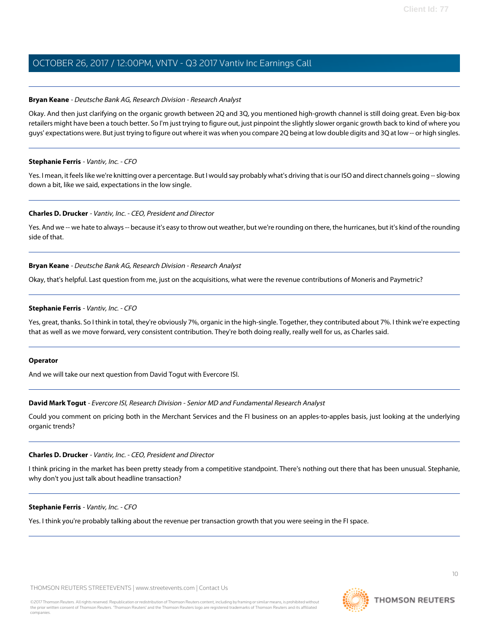## **Bryan Keane** - Deutsche Bank AG, Research Division - Research Analyst

Okay. And then just clarifying on the organic growth between 2Q and 3Q, you mentioned high-growth channel is still doing great. Even big-box retailers might have been a touch better. So I'm just trying to figure out, just pinpoint the slightly slower organic growth back to kind of where you guys' expectations were. But just trying to figure out where it was when you compare 2Q being at low double digits and 3Q at low -- or high singles.

#### **Stephanie Ferris** - Vantiv, Inc. - CFO

Yes. I mean, it feels like we're knitting over a percentage. But I would say probably what's driving that is our ISO and direct channels going -- slowing down a bit, like we said, expectations in the low single.

#### **Charles D. Drucker** - Vantiv, Inc. - CEO, President and Director

Yes. And we -- we hate to always -- because it's easy to throw out weather, but we're rounding on there, the hurricanes, but it's kind of the rounding side of that.

#### **Bryan Keane** - Deutsche Bank AG, Research Division - Research Analyst

Okay, that's helpful. Last question from me, just on the acquisitions, what were the revenue contributions of Moneris and Paymetric?

#### **Stephanie Ferris** - Vantiv, Inc. - CFO

Yes, great, thanks. So I think in total, they're obviously 7%, organic in the high-single. Together, they contributed about 7%. I think we're expecting that as well as we move forward, very consistent contribution. They're both doing really, really well for us, as Charles said.

#### <span id="page-9-0"></span>**Operator**

And we will take our next question from David Togut with Evercore ISI.

## **David Mark Togut** - Evercore ISI, Research Division - Senior MD and Fundamental Research Analyst

Could you comment on pricing both in the Merchant Services and the FI business on an apples-to-apples basis, just looking at the underlying organic trends?

#### **Charles D. Drucker** - Vantiv, Inc. - CEO, President and Director

I think pricing in the market has been pretty steady from a competitive standpoint. There's nothing out there that has been unusual. Stephanie, why don't you just talk about headline transaction?

#### **Stephanie Ferris** - Vantiv, Inc. - CFO

Yes. I think you're probably talking about the revenue per transaction growth that you were seeing in the FI space.



**THOMSON REUTERS**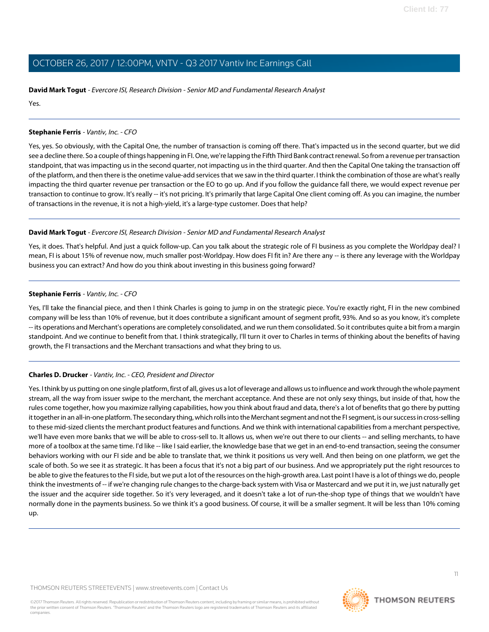# **David Mark Togut** - Evercore ISI, Research Division - Senior MD and Fundamental Research Analyst

Yes.

# **Stephanie Ferris** - Vantiv, Inc. - CFO

Yes, yes. So obviously, with the Capital One, the number of transaction is coming off there. That's impacted us in the second quarter, but we did see a decline there. So a couple of things happening in FI. One, we're lapping the Fifth Third Bank contract renewal. So from a revenue per transaction standpoint, that was impacting us in the second quarter, not impacting us in the third quarter. And then the Capital One taking the transaction off of the platform, and then there is the onetime value-add services that we saw in the third quarter. I think the combination of those are what's really impacting the third quarter revenue per transaction or the EO to go up. And if you follow the guidance fall there, we would expect revenue per transaction to continue to grow. It's really -- it's not pricing. It's primarily that large Capital One client coming off. As you can imagine, the number of transactions in the revenue, it is not a high-yield, it's a large-type customer. Does that help?

# **David Mark Togut** - Evercore ISI, Research Division - Senior MD and Fundamental Research Analyst

Yes, it does. That's helpful. And just a quick follow-up. Can you talk about the strategic role of FI business as you complete the Worldpay deal? I mean, FI is about 15% of revenue now, much smaller post-Worldpay. How does FI fit in? Are there any -- is there any leverage with the Worldpay business you can extract? And how do you think about investing in this business going forward?

# **Stephanie Ferris** - Vantiv, Inc. - CFO

Yes, I'll take the financial piece, and then I think Charles is going to jump in on the strategic piece. You're exactly right, FI in the new combined company will be less than 10% of revenue, but it does contribute a significant amount of segment profit, 93%. And so as you know, it's complete -- its operations and Merchant's operations are completely consolidated, and we run them consolidated. So it contributes quite a bit from a margin standpoint. And we continue to benefit from that. I think strategically, I'll turn it over to Charles in terms of thinking about the benefits of having growth, the FI transactions and the Merchant transactions and what they bring to us.

# **Charles D. Drucker** - Vantiv, Inc. - CEO, President and Director

Yes. I think by us putting on one single platform, first of all, gives us a lot of leverage and allows us to influence and work through the whole payment stream, all the way from issuer swipe to the merchant, the merchant acceptance. And these are not only sexy things, but inside of that, how the rules come together, how you maximize rallying capabilities, how you think about fraud and data, there's a lot of benefits that go there by putting it together in an all-in-one platform. The secondary thing, which rolls into the Merchant segment and not the FI segment, is our success in cross-selling to these mid-sized clients the merchant product features and functions. And we think with international capabilities from a merchant perspective, we'll have even more banks that we will be able to cross-sell to. It allows us, when we're out there to our clients -- and selling merchants, to have more of a toolbox at the same time. I'd like -- like I said earlier, the knowledge base that we get in an end-to-end transaction, seeing the consumer behaviors working with our FI side and be able to translate that, we think it positions us very well. And then being on one platform, we get the scale of both. So we see it as strategic. It has been a focus that it's not a big part of our business. And we appropriately put the right resources to be able to give the features to the FI side, but we put a lot of the resources on the high-growth area. Last point I have is a lot of things we do, people think the investments of -- if we're changing rule changes to the charge-back system with Visa or Mastercard and we put it in, we just naturally get the issuer and the acquirer side together. So it's very leveraged, and it doesn't take a lot of run-the-shop type of things that we wouldn't have normally done in the payments business. So we think it's a good business. Of course, it will be a smaller segment. It will be less than 10% coming up.

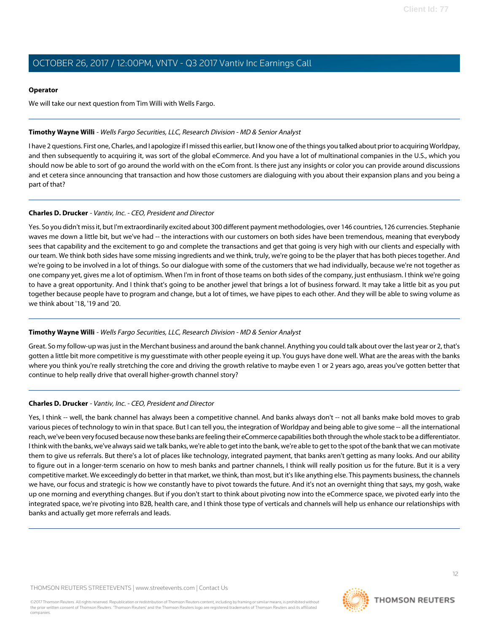## **Operator**

We will take our next question from Tim Willi with Wells Fargo.

# <span id="page-11-0"></span>**Timothy Wayne Willi** - Wells Fargo Securities, LLC, Research Division - MD & Senior Analyst

I have 2 questions. First one, Charles, and I apologize if I missed this earlier, but I know one of the things you talked about prior to acquiring Worldpay, and then subsequently to acquiring it, was sort of the global eCommerce. And you have a lot of multinational companies in the U.S., which you should now be able to sort of go around the world with on the eCom front. Is there just any insights or color you can provide around discussions and et cetera since announcing that transaction and how those customers are dialoguing with you about their expansion plans and you being a part of that?

# **Charles D. Drucker** - Vantiv, Inc. - CEO, President and Director

Yes. So you didn't miss it, but I'm extraordinarily excited about 300 different payment methodologies, over 146 countries, 126 currencies. Stephanie waves me down a little bit, but we've had -- the interactions with our customers on both sides have been tremendous, meaning that everybody sees that capability and the excitement to go and complete the transactions and get that going is very high with our clients and especially with our team. We think both sides have some missing ingredients and we think, truly, we're going to be the player that has both pieces together. And we're going to be involved in a lot of things. So our dialogue with some of the customers that we had individually, because we're not together as one company yet, gives me a lot of optimism. When I'm in front of those teams on both sides of the company, just enthusiasm. I think we're going to have a great opportunity. And I think that's going to be another jewel that brings a lot of business forward. It may take a little bit as you put together because people have to program and change, but a lot of times, we have pipes to each other. And they will be able to swing volume as we think about '18, '19 and '20.

# **Timothy Wayne Willi** - Wells Fargo Securities, LLC, Research Division - MD & Senior Analyst

Great. So my follow-up was just in the Merchant business and around the bank channel. Anything you could talk about over the last year or 2, that's gotten a little bit more competitive is my guesstimate with other people eyeing it up. You guys have done well. What are the areas with the banks where you think you're really stretching the core and driving the growth relative to maybe even 1 or 2 years ago, areas you've gotten better that continue to help really drive that overall higher-growth channel story?

# **Charles D. Drucker** - Vantiv, Inc. - CEO, President and Director

Yes, I think -- well, the bank channel has always been a competitive channel. And banks always don't -- not all banks make bold moves to grab various pieces of technology to win in that space. But I can tell you, the integration of Worldpay and being able to give some -- all the international reach, we've been very focused because now these banks are feeling their eCommerce capabilities both through the whole stack to be a differentiator. I think with the banks, we've always said we talk banks, we're able to get into the bank, we're able to get to the spot of the bank that we can motivate them to give us referrals. But there's a lot of places like technology, integrated payment, that banks aren't getting as many looks. And our ability to figure out in a longer-term scenario on how to mesh banks and partner channels, I think will really position us for the future. But it is a very competitive market. We exceedingly do better in that market, we think, than most, but it's like anything else. This payments business, the channels we have, our focus and strategic is how we constantly have to pivot towards the future. And it's not an overnight thing that says, my gosh, wake up one morning and everything changes. But if you don't start to think about pivoting now into the eCommerce space, we pivoted early into the integrated space, we're pivoting into B2B, health care, and I think those type of verticals and channels will help us enhance our relationships with banks and actually get more referrals and leads.

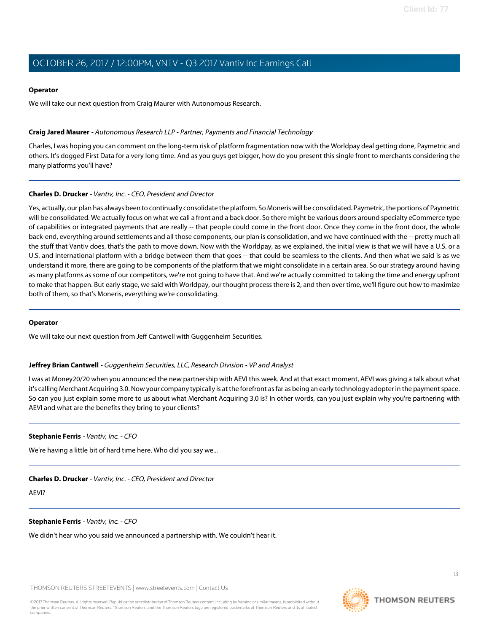## **Operator**

We will take our next question from Craig Maurer with Autonomous Research.

# <span id="page-12-0"></span>**Craig Jared Maurer** - Autonomous Research LLP - Partner, Payments and Financial Technology

Charles, I was hoping you can comment on the long-term risk of platform fragmentation now with the Worldpay deal getting done, Paymetric and others. It's dogged First Data for a very long time. And as you guys get bigger, how do you present this single front to merchants considering the many platforms you'll have?

# **Charles D. Drucker** - Vantiv, Inc. - CEO, President and Director

Yes, actually, our plan has always been to continually consolidate the platform. So Moneris will be consolidated. Paymetric, the portions of Paymetric will be consolidated. We actually focus on what we call a front and a back door. So there might be various doors around specialty eCommerce type of capabilities or integrated payments that are really -- that people could come in the front door. Once they come in the front door, the whole back-end, everything around settlements and all those components, our plan is consolidation, and we have continued with the -- pretty much all the stuff that Vantiv does, that's the path to move down. Now with the Worldpay, as we explained, the initial view is that we will have a U.S. or a U.S. and international platform with a bridge between them that goes -- that could be seamless to the clients. And then what we said is as we understand it more, there are going to be components of the platform that we might consolidate in a certain area. So our strategy around having as many platforms as some of our competitors, we're not going to have that. And we're actually committed to taking the time and energy upfront to make that happen. But early stage, we said with Worldpay, our thought process there is 2, and then over time, we'll figure out how to maximize both of them, so that's Moneris, everything we're consolidating.

# <span id="page-12-1"></span>**Operator**

We will take our next question from Jeff Cantwell with Guggenheim Securities.

# **Jeffrey Brian Cantwell** - Guggenheim Securities, LLC, Research Division - VP and Analyst

I was at Money20/20 when you announced the new partnership with AEVI this week. And at that exact moment, AEVI was giving a talk about what it's calling Merchant Acquiring 3.0. Now your company typically is at the forefront as far as being an early technology adopter in the payment space. So can you just explain some more to us about what Merchant Acquiring 3.0 is? In other words, can you just explain why you're partnering with AEVI and what are the benefits they bring to your clients?

## **Stephanie Ferris** - Vantiv, Inc. - CFO

We're having a little bit of hard time here. Who did you say we...

## **Charles D. Drucker** - Vantiv, Inc. - CEO, President and Director

AEVI?

## **Stephanie Ferris** - Vantiv, Inc. - CFO

We didn't hear who you said we announced a partnership with. We couldn't hear it.

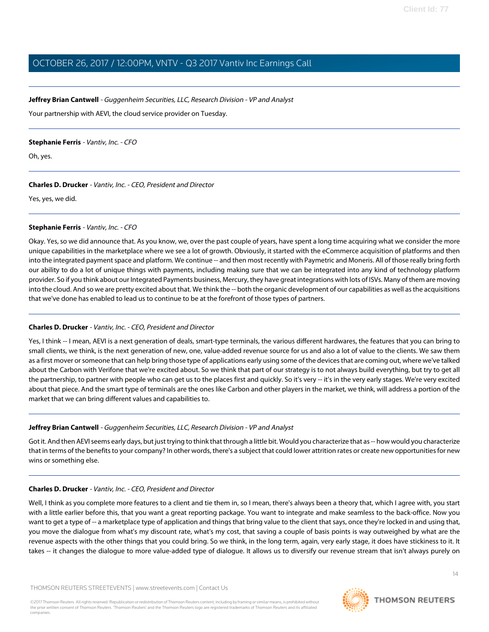# **Jeffrey Brian Cantwell** - Guggenheim Securities, LLC, Research Division - VP and Analyst

Your partnership with AEVI, the cloud service provider on Tuesday.

#### **Stephanie Ferris** - Vantiv, Inc. - CFO

Oh, yes.

# **Charles D. Drucker** - Vantiv, Inc. - CEO, President and Director

Yes, yes, we did.

## **Stephanie Ferris** - Vantiv, Inc. - CFO

Okay. Yes, so we did announce that. As you know, we, over the past couple of years, have spent a long time acquiring what we consider the more unique capabilities in the marketplace where we see a lot of growth. Obviously, it started with the eCommerce acquisition of platforms and then into the integrated payment space and platform. We continue -- and then most recently with Paymetric and Moneris. All of those really bring forth our ability to do a lot of unique things with payments, including making sure that we can be integrated into any kind of technology platform provider. So if you think about our Integrated Payments business, Mercury, they have great integrations with lots of ISVs. Many of them are moving into the cloud. And so we are pretty excited about that. We think the -- both the organic development of our capabilities as well as the acquisitions that we've done has enabled to lead us to continue to be at the forefront of those types of partners.

# **Charles D. Drucker** - Vantiv, Inc. - CEO, President and Director

Yes, I think -- I mean, AEVI is a next generation of deals, smart-type terminals, the various different hardwares, the features that you can bring to small clients, we think, is the next generation of new, one, value-added revenue source for us and also a lot of value to the clients. We saw them as a first mover or someone that can help bring those type of applications early using some of the devices that are coming out, where we've talked about the Carbon with Verifone that we're excited about. So we think that part of our strategy is to not always build everything, but try to get all the partnership, to partner with people who can get us to the places first and quickly. So it's very -- it's in the very early stages. We're very excited about that piece. And the smart type of terminals are the ones like Carbon and other players in the market, we think, will address a portion of the market that we can bring different values and capabilities to.

# **Jeffrey Brian Cantwell** - Guggenheim Securities, LLC, Research Division - VP and Analyst

Got it. And then AEVI seems early days, but just trying to think that through a little bit. Would you characterize that as -- how would you characterize that in terms of the benefits to your company? In other words, there's a subject that could lower attrition rates or create new opportunities for new wins or something else.

# **Charles D. Drucker** - Vantiv, Inc. - CEO, President and Director

Well, I think as you complete more features to a client and tie them in, so I mean, there's always been a theory that, which I agree with, you start with a little earlier before this, that you want a great reporting package. You want to integrate and make seamless to the back-office. Now you want to get a type of -- a marketplace type of application and things that bring value to the client that says, once they're locked in and using that, you move the dialogue from what's my discount rate, what's my cost, that saving a couple of basis points is way outweighed by what are the revenue aspects with the other things that you could bring. So we think, in the long term, again, very early stage, it does have stickiness to it. It takes -- it changes the dialogue to more value-added type of dialogue. It allows us to diversify our revenue stream that isn't always purely on



 $14$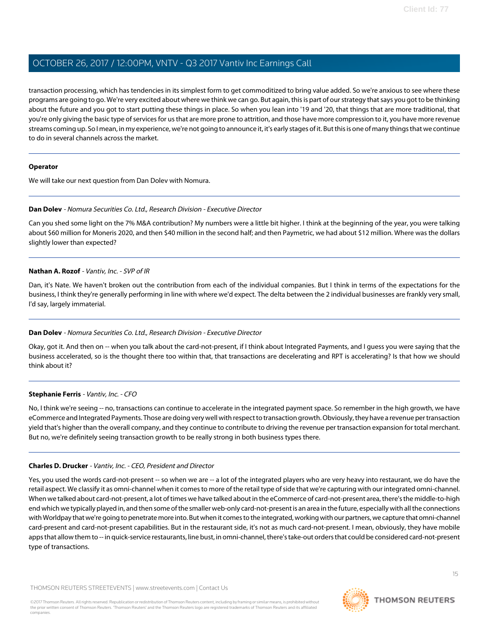transaction processing, which has tendencies in its simplest form to get commoditized to bring value added. So we're anxious to see where these programs are going to go. We're very excited about where we think we can go. But again, this is part of our strategy that says you got to be thinking about the future and you got to start putting these things in place. So when you lean into '19 and '20, that things that are more traditional, that you're only giving the basic type of services for us that are more prone to attrition, and those have more compression to it, you have more revenue streams coming up. So I mean, in my experience, we're not going to announce it, it's early stages of it. But this is one of many things that we continue to do in several channels across the market.

## **Operator**

<span id="page-14-0"></span>We will take our next question from Dan Dolev with Nomura.

## **Dan Dolev** - Nomura Securities Co. Ltd., Research Division - Executive Director

Can you shed some light on the 7% M&A contribution? My numbers were a little bit higher. I think at the beginning of the year, you were talking about \$60 million for Moneris 2020, and then \$40 million in the second half; and then Paymetric, we had about \$12 million. Where was the dollars slightly lower than expected?

#### **Nathan A. Rozof** - Vantiv, Inc. - SVP of IR

Dan, it's Nate. We haven't broken out the contribution from each of the individual companies. But I think in terms of the expectations for the business, I think they're generally performing in line with where we'd expect. The delta between the 2 individual businesses are frankly very small, I'd say, largely immaterial.

## **Dan Dolev** - Nomura Securities Co. Ltd., Research Division - Executive Director

Okay, got it. And then on -- when you talk about the card-not-present, if I think about Integrated Payments, and I guess you were saying that the business accelerated, so is the thought there too within that, that transactions are decelerating and RPT is accelerating? Is that how we should think about it?

#### **Stephanie Ferris** - Vantiv, Inc. - CFO

No, I think we're seeing -- no, transactions can continue to accelerate in the integrated payment space. So remember in the high growth, we have eCommerce and Integrated Payments. Those are doing very well with respect to transaction growth. Obviously, they have a revenue per transaction yield that's higher than the overall company, and they continue to contribute to driving the revenue per transaction expansion for total merchant. But no, we're definitely seeing transaction growth to be really strong in both business types there.

## **Charles D. Drucker** - Vantiv, Inc. - CEO, President and Director

Yes, you used the words card-not-present -- so when we are -- a lot of the integrated players who are very heavy into restaurant, we do have the retail aspect. We classify it as omni-channel when it comes to more of the retail type of side that we're capturing with our integrated omni-channel. When we talked about card-not-present, a lot of times we have talked about in the eCommerce of card-not-present area, there's the middle-to-high end which we typically played in, and then some of the smaller web-only card-not-present is an area in the future, especially with all the connections with Worldpay that we're going to penetrate more into. But when it comes to the integrated, working with our partners, we capture that omni-channel card-present and card-not-present capabilities. But in the restaurant side, it's not as much card-not-present. I mean, obviously, they have mobile apps that allow them to -- in quick-service restaurants, line bust, in omni-channel, there's take-out orders that could be considered card-not-present type of transactions.

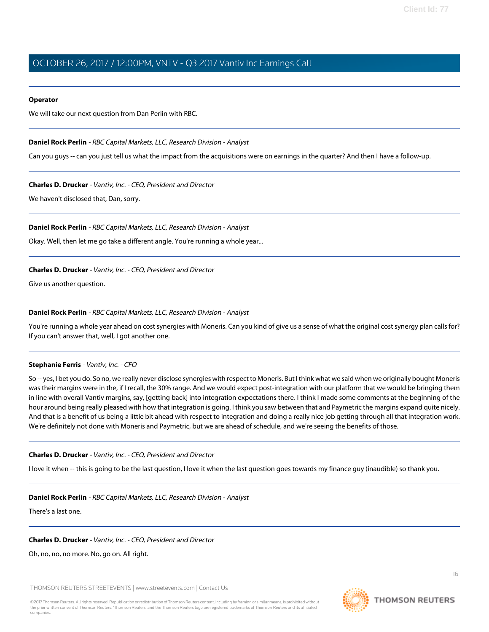#### **Operator**

<span id="page-15-0"></span>We will take our next question from Dan Perlin with RBC.

## **Daniel Rock Perlin** - RBC Capital Markets, LLC, Research Division - Analyst

Can you guys -- can you just tell us what the impact from the acquisitions were on earnings in the quarter? And then I have a follow-up.

#### **Charles D. Drucker** - Vantiv, Inc. - CEO, President and Director

We haven't disclosed that, Dan, sorry.

#### **Daniel Rock Perlin** - RBC Capital Markets, LLC, Research Division - Analyst

Okay. Well, then let me go take a different angle. You're running a whole year...

# **Charles D. Drucker** - Vantiv, Inc. - CEO, President and Director

Give us another question.

# **Daniel Rock Perlin** - RBC Capital Markets, LLC, Research Division - Analyst

You're running a whole year ahead on cost synergies with Moneris. Can you kind of give us a sense of what the original cost synergy plan calls for? If you can't answer that, well, I got another one.

## **Stephanie Ferris** - Vantiv, Inc. - CFO

So -- yes, I bet you do. So no, we really never disclose synergies with respect to Moneris. But I think what we said when we originally bought Moneris was their margins were in the, if I recall, the 30% range. And we would expect post-integration with our platform that we would be bringing them in line with overall Vantiv margins, say, [getting back] into integration expectations there. I think I made some comments at the beginning of the hour around being really pleased with how that integration is going. I think you saw between that and Paymetric the margins expand quite nicely. And that is a benefit of us being a little bit ahead with respect to integration and doing a really nice job getting through all that integration work. We're definitely not done with Moneris and Paymetric, but we are ahead of schedule, and we're seeing the benefits of those.

## **Charles D. Drucker** - Vantiv, Inc. - CEO, President and Director

I love it when -- this is going to be the last question, I love it when the last question goes towards my finance guy (inaudible) so thank you.

## **Daniel Rock Perlin** - RBC Capital Markets, LLC, Research Division - Analyst

There's a last one.

## **Charles D. Drucker** - Vantiv, Inc. - CEO, President and Director

Oh, no, no, no more. No, go on. All right.

THOMSON REUTERS STREETEVENTS | [www.streetevents.com](http://www.streetevents.com) | [Contact Us](http://www010.streetevents.com/contact.asp)